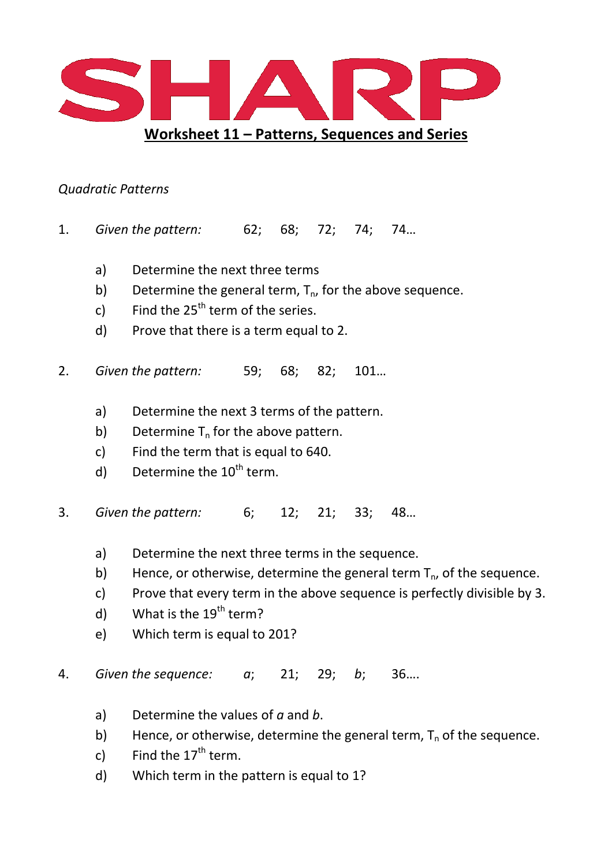

## *Quadratic Patterns*

- 1. *Given the pattern:* 62; 68; 72; 74; 74…
	- a) Determine the next three terms
	- b) Determine the general term,  $T_{n}$ , for the above sequence.
	- c) Find the  $25<sup>th</sup>$  term of the series.
	- d) Prove that there is a term equal to 2.
- 2. *Given the pattern:* 59; 68; 82; 101…
	- a) Determine the next 3 terms of the pattern.
	- b) Determine  $T_n$  for the above pattern.
	- c) Find the term that is equal to 640.
	- d) Determine the  $10^{th}$  term.
- 3. *Given the pattern:* 6; 12; 21; 33; 48…
	- a) Determine the next three terms in the sequence.
	- b) Hence, or otherwise, determine the general term  $T_n$ , of the sequence.
	- c) Prove that every term in the above sequence is perfectly divisible by 3.
	- d) What is the  $19<sup>th</sup>$  term?
	- e) Which term is equal to 201?

4. *Given the sequence: a*; 21; 29; *b*; 36….

- a) Determine the values of *a* and *b*.
- b) Hence, or otherwise, determine the general term,  $T_n$  of the sequence.
- c) Find the  $17<sup>th</sup>$  term.
- d) Which term in the pattern is equal to 1?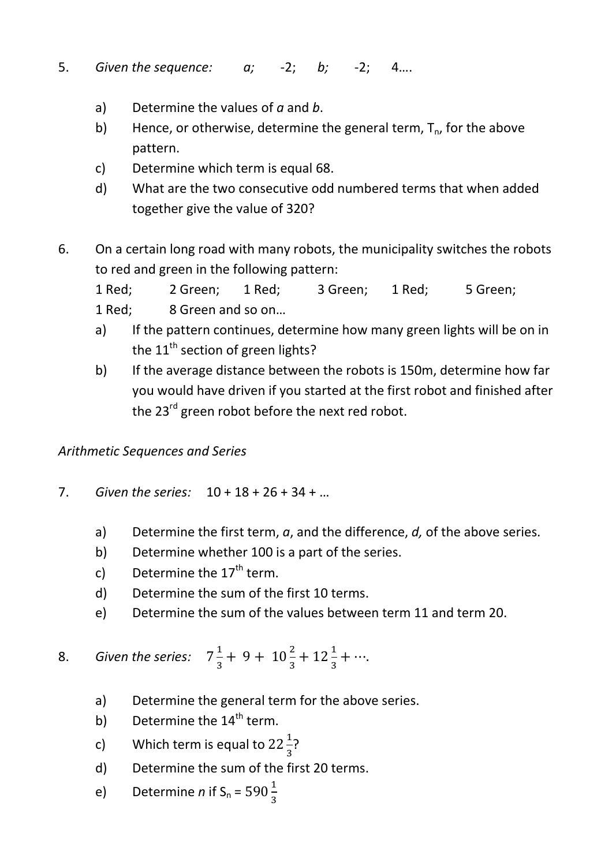- 5. *Given the sequence: a;* -2; *b;* -2; 4….
	- a) Determine the values of *a* and *b*.
	- b) Hence, or otherwise, determine the general term,  $T_{n}$ , for the above pattern.
	- c) Determine which term is equal 68.
	- d) What are the two consecutive odd numbered terms that when added together give the value of 320?
- 6. On a certain long road with many robots, the municipality switches the robots to red and green in the following pattern:

1 Red; 2 Green; 1 Red; 3 Green; 1 Red; 5 Green;

- 1 Red; 8 Green and so on…
- a) If the pattern continues, determine how many green lights will be on in the  $11^{\text{th}}$  section of green lights?
- b) If the average distance between the robots is 150m, determine how far you would have driven if you started at the first robot and finished after the 23<sup>rd</sup> green robot before the next red robot.

*Arithmetic Sequences and Series* 

- 7. *Given the series:* 10 + 18 + 26 + 34 + …
	- a) Determine the first term, *a*, and the difference, *d,* of the above series.
	- b) Determine whether 100 is a part of the series.
	- c) Determine the  $17<sup>th</sup>$  term.
	- d) Determine the sum of the first 10 terms.
	- e) Determine the sum of the values between term 11 and term 20.

8. Given the series:  $7\frac{1}{3} + 9 + 10\frac{2}{3} + 12\frac{1}{3} + \cdots$ .

- a) Determine the general term for the above series.
- b) Determine the  $14<sup>th</sup>$  term.
- c) Which term is equal to  $22\frac{1}{3}$ ?
	- d) Determine the sum of the first 20 terms.
- e) Determine *n* if  $S_n = 590\frac{1}{3}$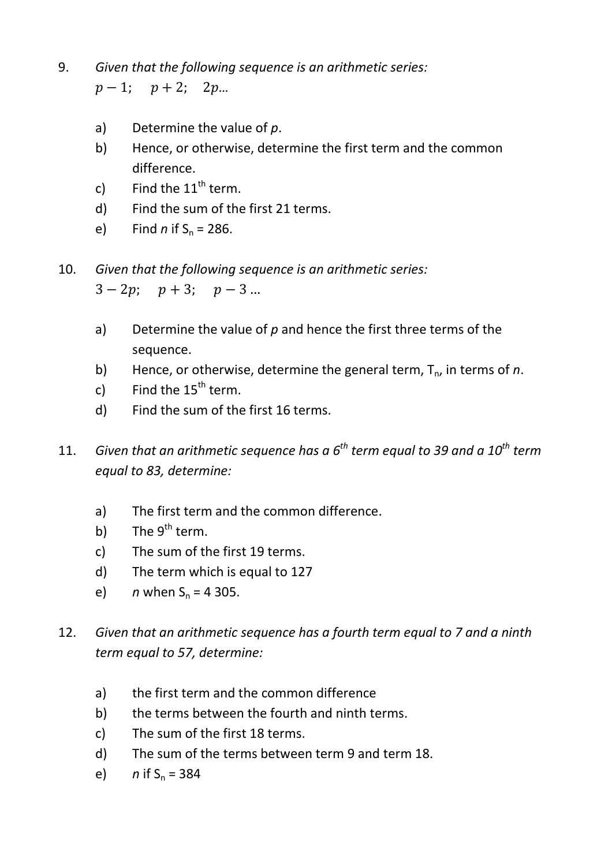9. *Given that the following sequence is an arithmetic series:* 

 $p-1$ ;  $p+2$ ;  $2p...$ 

- a) Determine the value of *p*.
- b) Hence, or otherwise, determine the first term and the common difference.
- c) Find the  $11<sup>th</sup>$  term.
- d) Find the sum of the first 21 terms.
- e) Find *n* if  $S_n = 286$ .
- 10. *Given that the following sequence is an arithmetic series:*

 $3 - 2p$ ;  $p + 3$ ;  $p - 3$ ...

- a) Determine the value of *p* and hence the first three terms of the sequence.
- b) Hence, or otherwise, determine the general term,  $T_{n}$ , in terms of *n*.
- c) Find the  $15<sup>th</sup>$  term.
- d) Find the sum of the first 16 terms.
- 11. *Given that an arithmetic sequence has a 6th term equal to 39 and a 10th term equal to 83, determine:* 
	- a) The first term and the common difference.
	- b) The  $9<sup>th</sup>$  term.
	- c) The sum of the first 19 terms.
	- d) The term which is equal to 127
	- e) *n* when  $S_n = 4305$ .
- 12. *Given that an arithmetic sequence has a fourth term equal to 7 and a ninth term equal to 57, determine:* 
	- a) the first term and the common difference
	- b) the terms between the fourth and ninth terms.
	- c) The sum of the first 18 terms.
	- d) The sum of the terms between term 9 and term 18.
	- e)  $n$  if  $S_n = 384$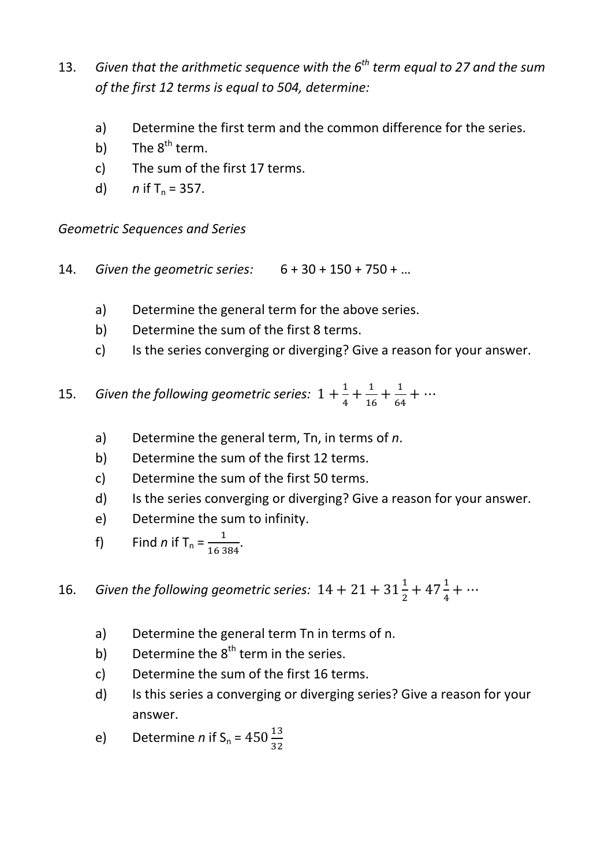- 13. *Given that the arithmetic sequence with the 6th term equal to 27 and the sum of the first 12 terms is equal to 504, determine:* 
	- a) Determine the first term and the common difference for the series.
	- b) The  $8^{th}$  term.
	- c) The sum of the first 17 terms.
	- d)  $n$  if  $T_n = 357$ .

*Geometric Sequences and Series* 

- 14. *Given the geometric series:* 6 + 30 + 150 + 750 + …
	- a) Determine the general term for the above series.
	- b) Determine the sum of the first 8 terms.
	- c) Is the series converging or diverging? Give a reason for your answer.
- 15. *Given the following geometric series*:  $1 + \frac{1}{4} + \frac{1}{16} + \frac{1}{64} + \cdots$ 
	- a) Determine the general term, Tn, in terms of *n*.
	- b) Determine the sum of the first 12 terms.
	- c) Determine the sum of the first 50 terms.
	- d) Is the series converging or diverging? Give a reason for your answer.
	- e) Determine the sum to infinity.
- f) Find *n* if  $T_n = \frac{1}{16384}$ .

16. Given the following geometric series:  $14 + 21 + 31\frac{1}{2} + 47\frac{1}{4} + \cdots$ 

- a) Determine the general term Tn in terms of n.
- b) Determine the  $8<sup>th</sup>$  term in the series.
- c) Determine the sum of the first 16 terms.
- d) Is this series a converging or diverging series? Give a reason for your answer.
- e) Determine *n* if  $S_n = 450 \frac{13}{32}$  $\frac{15}{32}$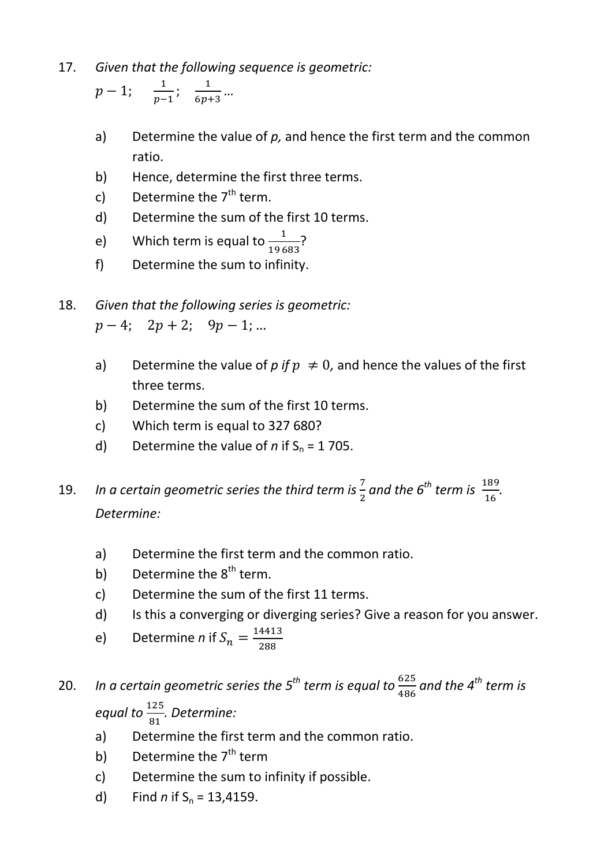17. *Given that the following sequence is geometric:* 

$$
p-1
$$
;  $\frac{1}{p-1}$ ;  $\frac{1}{6p+3}$ ...

- a) Determine the value of *p,* and hence the first term and the common ratio.
- b) Hence, determine the first three terms.
- c) Determine the  $7<sup>th</sup>$  term.
- d) Determine the sum of the first 10 terms.
- e) Which term is equal to  $\frac{1}{19683}$ ?
	- f) Determine the sum to infinity.
- 18. *Given that the following series is geometric:*   $p - 4$ ;  $2p + 2$ ;  $9p - 1$ ; ...
	- a) Determine the value of  $p$  if  $p \neq 0$ , and hence the values of the first three terms.
	- b) Determine the sum of the first 10 terms.
	- c) Which term is equal to 327 680?
	- d) Determine the value of  $n$  if  $S_n = 1705$ .
- 19. *In a certain geometric series the third term is*  $\frac{7}{2}$  and the 6<sup>th</sup> term is  $\frac{189}{16}$  $\frac{169}{16}$ . *Determine:* 
	- a) Determine the first term and the common ratio.
	- b) Determine the  $8<sup>th</sup>$  term.
	- c) Determine the sum of the first 11 terms.
	- d) Is this a converging or diverging series? Give a reason for you answer.
- e) Determine *n* if  $S_n = \frac{14413}{288}$ 288

## 20. In a certain geometric series the 5<sup>th</sup> term is equal to  $\frac{625}{486}$  and the 4<sup>th</sup> term is *equal to*  $\frac{125}{21}$  $\frac{123}{81}$ . Determine:

- a) Determine the first term and the common ratio.
- b) Determine the  $7<sup>th</sup>$  term
- c) Determine the sum to infinity if possible.
- d) Find *n* if  $S_n = 13,4159$ .